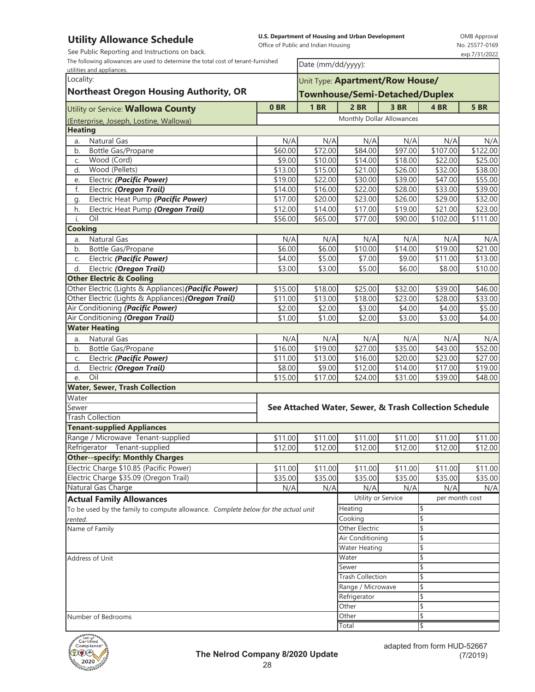## **Utility Allowance Schedule**

See Public Reporting and Instructions on back.

**U.S. Department of Housing and Urban Development**  Office of Public and Indian Housing

OMB Approval No. 25577-0169 exp.7/31/2022

The following allowances are used to determine the total cost of tenant-furnished

| The following allowances are used to determine the total cost of tenant-furnished |                   | Date (mm/dd/yyyy):                    |                                                        |         |                     |             |  |  |
|-----------------------------------------------------------------------------------|-------------------|---------------------------------------|--------------------------------------------------------|---------|---------------------|-------------|--|--|
| utilities and appliances.<br>Locality:                                            |                   |                                       |                                                        |         |                     |             |  |  |
| <b>Northeast Oregon Housing Authority, OR</b>                                     |                   |                                       | Unit Type: Apartment/Row House/                        |         |                     |             |  |  |
|                                                                                   |                   | <b>Townhouse/Semi-Detached/Duplex</b> |                                                        |         |                     |             |  |  |
| Utility or Service: Wallowa County                                                | 0 <sub>BR</sub>   | 1 <sub>BR</sub>                       | 2 BR                                                   | 3 BR    | 4BR                 | <b>5 BR</b> |  |  |
| (Enterprise, Joseph, Lostine, Wallowa)                                            |                   |                                       | Monthly Dollar Allowances                              |         |                     |             |  |  |
| <b>Heating</b>                                                                    |                   |                                       |                                                        |         |                     |             |  |  |
| <b>Natural Gas</b><br>a.                                                          | N/A               | N/A                                   | N/A                                                    | N/A     | N/A                 | N/A         |  |  |
| Bottle Gas/Propane<br>b.                                                          | $\frac{1}{60.00}$ | $\overline{$}72.00$                   | \$84.00                                                | \$97.00 | \$107.00            | \$122.00    |  |  |
| Wood (Cord)<br>C.                                                                 | \$9.00            | \$10.00                               | \$14.00                                                | \$18.00 | \$22.00             | \$25.00     |  |  |
| Wood (Pellets)<br>d.                                                              | \$13.00           | \$15.00                               | \$21.00                                                | \$26.00 | \$32.00             | \$38.00     |  |  |
| Electric (Pacific Power)<br>e.                                                    | \$19.00           | \$22.00                               | \$30.00                                                | \$39.00 | \$47.00             | \$55.00     |  |  |
| f.<br>Electric (Oregon Trail)                                                     | \$14.00           | \$16.00                               | \$22.00                                                | \$28.00 | \$33.00             | \$39.00     |  |  |
| Electric Heat Pump (Pacific Power)<br>g.                                          | \$17.00           | \$20.00                               | \$23.00                                                | \$26.00 | \$29.00             | \$32.00     |  |  |
| Electric Heat Pump (Oregon Trail)<br>h.                                           | \$12.00           | \$14.00                               | \$17.00                                                | \$19.00 | \$21.00             | \$23.00     |  |  |
| Oil<br>i.                                                                         | \$56.00           | \$65.00                               | \$77.00                                                | \$90.00 | \$102.00            | \$111.00    |  |  |
| <b>Cooking</b>                                                                    |                   |                                       |                                                        |         |                     |             |  |  |
| <b>Natural Gas</b><br>a.                                                          | N/A               | N/A                                   | N/A                                                    | N/A     | N/A                 | N/A         |  |  |
| <b>Bottle Gas/Propane</b><br>b.                                                   | \$6.00            | \$6.00                                | \$10.00                                                | \$14.00 | \$19.00             | \$21.00     |  |  |
| Electric (Pacific Power)<br>C.                                                    | \$4.00            | \$5.00                                | \$7.00                                                 | \$9.00  | \$11.00             | \$13.00     |  |  |
| Electric (Oregon Trail)<br>d.                                                     | \$3.00            | \$3.00                                | \$5.00                                                 | \$6.00  | \$8.00              | \$10.00     |  |  |
| <b>Other Electric &amp; Cooling</b>                                               |                   |                                       |                                                        |         |                     |             |  |  |
| Other Electric (Lights & Appliances) (Pacific Power)                              | \$15.00           | \$18.00                               | \$25.00                                                | \$32.00 | \$39.00             | \$46.00     |  |  |
| Other Electric (Lights & Appliances) (Oregon Trail)                               | \$11.00           | \$13.00                               | \$18.00                                                | \$23.00 | \$28.00             | \$33.00     |  |  |
| Air Conditioning (Pacific Power)                                                  | \$2.00            | \$2.00                                | \$3.00                                                 | \$4.00  | \$4.00              | \$5.00      |  |  |
| Air Conditioning (Oregon Trail)                                                   | \$1.00            | \$1.00                                | \$2.00                                                 | \$3.00  | \$3.00              | \$4.00      |  |  |
| <b>Water Heating</b>                                                              |                   |                                       |                                                        |         |                     |             |  |  |
| <b>Natural Gas</b><br>a.                                                          | N/A               | N/A                                   | N/A                                                    | N/A     | N/A                 | N/A         |  |  |
| Bottle Gas/Propane<br>b.                                                          | \$16.00           | $\overline{$}19.00$                   | \$27.00                                                | \$35.00 | $\overline{$43.00}$ | \$52.00     |  |  |
| Electric (Pacific Power)<br>C.                                                    | \$11.00           | \$13.00                               | \$16.00                                                | \$20.00 | \$23.00             | \$27.00     |  |  |
| Electric (Oregon Trail)<br>d.                                                     | \$8.00            | \$9.00                                | \$12.00                                                | \$14.00 | \$17.00             | \$19.00     |  |  |
| Oil<br>e.                                                                         | \$15.00           | \$17.00                               | \$24.00                                                | \$31.00 | \$39.00             | \$48.00     |  |  |
| <b>Water, Sewer, Trash Collection</b>                                             |                   |                                       |                                                        |         |                     |             |  |  |
| Water                                                                             |                   |                                       |                                                        |         |                     |             |  |  |
| Sewer                                                                             |                   |                                       | See Attached Water, Sewer, & Trash Collection Schedule |         |                     |             |  |  |
| <b>Trash Collection</b>                                                           |                   |                                       |                                                        |         |                     |             |  |  |
| <b>Tenant-supplied Appliances</b>                                                 |                   |                                       |                                                        |         |                     |             |  |  |
| Range / Microwave Tenant-supplied                                                 | \$11.00           | \$11.00                               | \$11.00                                                | \$11.00 | \$11.00             | \$11.00     |  |  |
| Refrigerator Tenant-supplied                                                      | \$12.00           | \$12.00                               | \$12.00                                                | \$12.00 | \$12.00             | \$12.00     |  |  |
| <b>Other--specify: Monthly Charges</b>                                            |                   |                                       |                                                        |         |                     |             |  |  |
| Electric Charge \$10.85 (Pacific Power)                                           | \$11.00           | \$11.00                               | \$11.00                                                | \$11.00 | \$11.00             | \$11.00     |  |  |
| Electric Charge \$35.09 (Oregon Trail)                                            | \$35.00           | \$35.00                               | \$35.00                                                | \$35.00 | \$35.00             | \$35.00     |  |  |
| Natural Gas Charge                                                                | N/A               | N/A                                   | N/A                                                    | N/A     | N/A                 | N/A         |  |  |
| <b>Actual Family Allowances</b>                                                   |                   |                                       | Utility or Service                                     |         | per month cost      |             |  |  |
| To be used by the family to compute allowance. Complete below for the actual unit |                   |                                       | Heating                                                |         | \$                  |             |  |  |
| rented.                                                                           |                   |                                       | Cooking                                                |         | \$                  |             |  |  |
| Name of Family                                                                    |                   |                                       | Other Electric                                         |         | \$                  |             |  |  |
|                                                                                   |                   |                                       | Air Conditioning                                       |         | \$                  |             |  |  |
|                                                                                   |                   |                                       | Water Heating                                          |         | \$                  |             |  |  |
| Address of Unit                                                                   |                   |                                       | Water                                                  |         | \$                  |             |  |  |
|                                                                                   |                   |                                       | Sewer                                                  |         | $\blacklozenge$     |             |  |  |
|                                                                                   |                   |                                       | <b>Trash Collection</b>                                |         | \$                  |             |  |  |
|                                                                                   |                   |                                       | Range / Microwave                                      |         | \$                  |             |  |  |
|                                                                                   |                   |                                       | Refrigerator                                           |         | \$                  |             |  |  |
|                                                                                   |                   |                                       | Other                                                  |         | \$                  |             |  |  |
| Number of Bedrooms                                                                |                   |                                       | Other                                                  |         | \$                  |             |  |  |
|                                                                                   |                   |                                       | Total                                                  |         | \$                  |             |  |  |

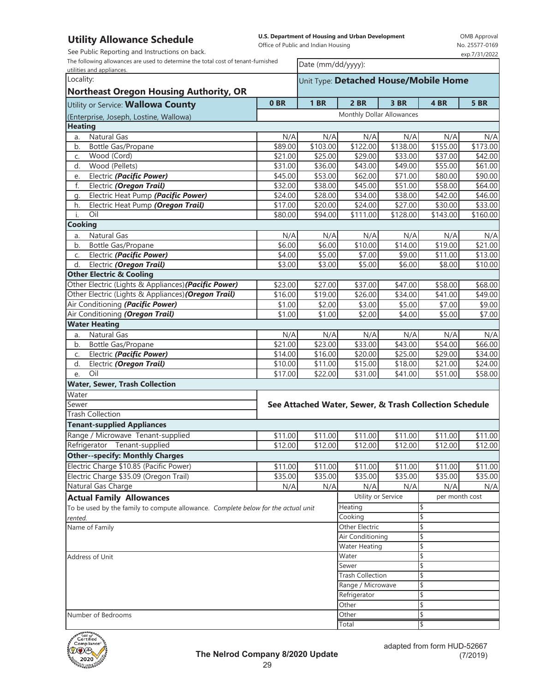## **Utility Allowance Schedule**

See Public Reporting and Instructions on back.

**U.S. Department of Housing and Urban Development**  Office of Public and Indian Housing

Date (mm/dd/yyyy):

OMB Approval No. 25577-0169 exp.7/31/2022

The following allowances are used to determine the total cost of tenant-furnished

| utilities and appliances.                                                         |                     |             |                                                        |                 |                     |                     |  |  |
|-----------------------------------------------------------------------------------|---------------------|-------------|--------------------------------------------------------|-----------------|---------------------|---------------------|--|--|
| Locality:                                                                         |                     |             | Unit Type: Detached House/Mobile Home                  |                 |                     |                     |  |  |
| <b>Northeast Oregon Housing Authority, OR</b>                                     |                     |             |                                                        |                 |                     |                     |  |  |
| Utility or Service: Wallowa County                                                | 0 <sub>BR</sub>     | <b>1 BR</b> | 2 BR                                                   | 3 BR            | 4 BR                | <b>5 BR</b>         |  |  |
|                                                                                   |                     |             | Monthly Dollar Allowances                              |                 |                     |                     |  |  |
| (Enterprise, Joseph, Lostine, Wallowa)<br><b>Heating</b>                          |                     |             |                                                        |                 |                     |                     |  |  |
| Natural Gas                                                                       | N/A                 | N/A         |                                                        |                 |                     |                     |  |  |
| a.<br>Bottle Gas/Propane<br>b.                                                    | \$89.00             | \$103.00    | N/A<br>\$122.00                                        | N/A<br>\$138.00 | N/A<br>\$155.00     | N/A<br>\$173.00     |  |  |
| Wood (Cord)<br>C.                                                                 | \$21.00             | \$25.00     | \$29.00                                                | \$33.00         | \$37.00             | \$42.00             |  |  |
| Wood (Pellets)<br>d.                                                              | $\overline{$}31.00$ | \$36.00     | \$43.00                                                | \$49.00         | \$55.00             | \$61.00             |  |  |
| Electric (Pacific Power)<br>e.                                                    | \$45.00             | \$53.00     | \$62.00                                                | \$71.00         | \$80.00             | \$90.00             |  |  |
| f.<br>Electric (Oregon Trail)                                                     | \$32.00             | \$38.00     | \$45.00                                                | \$51.00         | \$58.00             | \$64.00             |  |  |
| Electric Heat Pump (Pacific Power)<br>q.                                          | \$24.00             | \$28.00     | \$34.00                                                | \$38.00         | \$42.00             | \$46.00             |  |  |
| Electric Heat Pump (Oregon Trail)<br>h.                                           | \$17.00             | \$20.00     | \$24.00                                                | \$27.00         | \$30.00             | \$33.00             |  |  |
| Oil<br>i.                                                                         | \$80.00             | \$94.00     | \$111.00                                               | \$128.00        | \$143.00            | \$160.00            |  |  |
| <b>Cooking</b>                                                                    |                     |             |                                                        |                 |                     |                     |  |  |
| Natural Gas<br>a.                                                                 | N/A                 | N/A         | N/A                                                    | N/A             | N/A                 | N/A                 |  |  |
| Bottle Gas/Propane<br>b.                                                          | \$6.00              | \$6.00      | \$10.00                                                | \$14.00         | $\overline{$19.00}$ | $\overline{$}21.00$ |  |  |
| Electric (Pacific Power)<br>C.                                                    | \$4.00              | \$5.00      | \$7.00                                                 | \$9.00          | \$11.00             | \$13.00             |  |  |
| d.<br>Electric (Oregon Trail)                                                     | \$3.00              | \$3.00      | \$5.00                                                 | \$6.00          | \$8.00              | \$10.00             |  |  |
| <b>Other Electric &amp; Cooling</b>                                               |                     |             |                                                        |                 |                     |                     |  |  |
| Other Electric (Lights & Appliances) (Pacific Power)                              | \$23.00             | \$27.00     | \$37.00                                                | \$47.00         | \$58.00             | \$68.00             |  |  |
| Other Electric (Lights & Appliances) (Oregon Trail)                               | \$16.00             | \$19.00     | \$26.00                                                | \$34.00         | \$41.00             | \$49.00             |  |  |
| Air Conditioning (Pacific Power)                                                  | \$1.00              | \$2.00      | \$3.00                                                 | \$5.00          | \$7.00              | \$9.00              |  |  |
| Air Conditioning (Oregon Trail)                                                   | \$1.00              | \$1.00      | \$2.00                                                 | \$4.00          | \$5.00              | \$7.00              |  |  |
| <b>Water Heating</b>                                                              |                     |             |                                                        |                 |                     |                     |  |  |
| Natural Gas<br>a.                                                                 | N/A                 | N/A         | N/A                                                    | N/A             | N/A                 | N/A                 |  |  |
| Bottle Gas/Propane<br>b.                                                          | \$21.00             | \$23.00     | \$33.00                                                | \$43.00         | \$54.00             | $\overline{$66.00}$ |  |  |
| Electric (Pacific Power)<br>C.                                                    | \$14.00             | \$16.00     | \$20.00                                                | \$25.00         | \$29.00             | $\overline{$}34.00$ |  |  |
| d.<br>Electric (Oregon Trail)                                                     | \$10.00             | \$11.00     | \$15.00                                                | \$18.00         | \$21.00             | \$24.00             |  |  |
| Oil<br>e.                                                                         | \$17.00             | \$22.00     | \$31.00                                                | \$41.00         | \$51.00             | \$58.00             |  |  |
| Water, Sewer, Trash Collection                                                    |                     |             |                                                        |                 |                     |                     |  |  |
| Water                                                                             |                     |             |                                                        |                 |                     |                     |  |  |
| Sewer                                                                             |                     |             | See Attached Water, Sewer, & Trash Collection Schedule |                 |                     |                     |  |  |
| <b>Trash Collection</b>                                                           |                     |             |                                                        |                 |                     |                     |  |  |
| <b>Tenant-supplied Appliances</b>                                                 |                     |             |                                                        |                 |                     |                     |  |  |
| Range / Microwave Tenant-supplied                                                 | \$11.00             | \$11.00     | \$11.00                                                | \$11.00         | \$11.00             | \$11.00             |  |  |
| Refrigerator Tenant-supplied                                                      | \$12.00             | \$12.00     | $\overline{$}12.00$                                    | \$12.00         | \$12.00             | \$12.00             |  |  |
| <b>Other--specify: Monthly Charges</b>                                            |                     |             |                                                        |                 |                     |                     |  |  |
| Electric Charge \$10.85 (Pacific Power)                                           | \$11.00             | \$11.00     | \$11.00                                                | \$11.00         | \$11.00             | \$11.00             |  |  |
| Electric Charge \$35.09 (Oregon Trail)                                            | \$35.00             | \$35.00     | \$35.00                                                | \$35.00         | \$35.00             | \$35.00             |  |  |
| Natural Gas Charge                                                                | N/A                 | N/A         | N/A                                                    | N/A             | N/A                 | N/A                 |  |  |
| <b>Actual Family Allowances</b>                                                   |                     |             | Utility or Service                                     |                 | per month cost      |                     |  |  |
| To be used by the family to compute allowance. Complete below for the actual unit |                     |             | Heating                                                |                 | \$                  |                     |  |  |
| rented.                                                                           |                     |             | Cooking                                                |                 | \$                  |                     |  |  |
| Name of Family                                                                    |                     |             | Other Electric                                         |                 | \$                  |                     |  |  |
|                                                                                   |                     |             | Air Conditioning                                       |                 | \$                  |                     |  |  |
|                                                                                   |                     |             | <b>Water Heating</b>                                   |                 | \$                  |                     |  |  |
| Address of Unit                                                                   |                     |             | Water                                                  |                 | \$                  |                     |  |  |
|                                                                                   |                     |             | Sewer                                                  |                 | \$                  |                     |  |  |
|                                                                                   |                     |             | <b>Trash Collection</b>                                |                 | \$                  |                     |  |  |
|                                                                                   |                     |             | Range / Microwave                                      |                 | \$                  |                     |  |  |
|                                                                                   |                     |             | Refrigerator                                           |                 | \$                  |                     |  |  |
|                                                                                   |                     |             | Other                                                  |                 | \$                  |                     |  |  |
| Number of Bedrooms                                                                |                     |             | Other                                                  |                 | \$                  |                     |  |  |
|                                                                                   |                     |             | Total                                                  |                 | 1\$                 |                     |  |  |